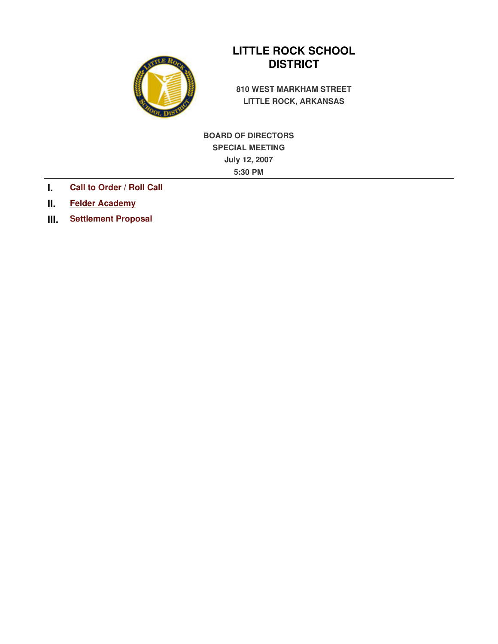

# **LITTLE ROCK SCHOOL DISTRICT**

**810 WEST MARKHAM STREET LITTLE ROCK, ARKANSAS** 

**BOARD OF DIRECTORS SPECIAL MEETING July 12, 2007 5:30 PM**

- **I. Call to Order / Roll Call**
- **II. Felder Academy**
- **III. Settlement Proposal**